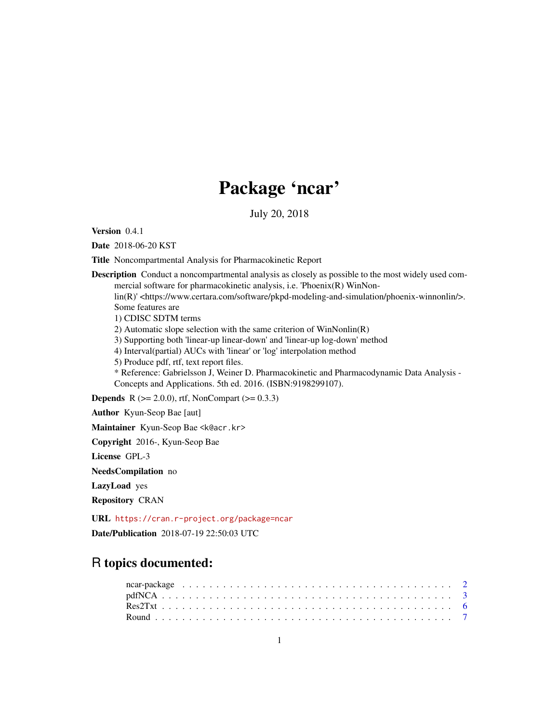## Package 'ncar'

July 20, 2018

<span id="page-0-0"></span>Version 0.4.1

Date 2018-06-20 KST

Title Noncompartmental Analysis for Pharmacokinetic Report

Description Conduct a noncompartmental analysis as closely as possible to the most widely used commercial software for pharmacokinetic analysis, i.e. 'Phoenix(R) WinNonlin(R)' <https://www.certara.com/software/pkpd-modeling-and-simulation/phoenix-winnonlin/>. Some features are 1) CDISC SDTM terms 2) Automatic slope selection with the same criterion of WinNonlin(R) 3) Supporting both 'linear-up linear-down' and 'linear-up log-down' method 4) Interval(partial) AUCs with 'linear' or 'log' interpolation method 5) Produce pdf, rtf, text report files. \* Reference: Gabrielsson J, Weiner D. Pharmacokinetic and Pharmacodynamic Data Analysis - Concepts and Applications. 5th ed. 2016. (ISBN:9198299107). **Depends** R ( $>= 2.0.0$ ), rtf, NonCompart ( $>= 0.3.3$ ) Author Kyun-Seop Bae [aut]

Maintainer Kyun-Seop Bae <k@acr.kr>

Copyright 2016-, Kyun-Seop Bae

License GPL-3

NeedsCompilation no

LazyLoad yes

Repository CRAN

URL <https://cran.r-project.org/package=ncar> Date/Publication 2018-07-19 22:50:03 UTC

### R topics documented: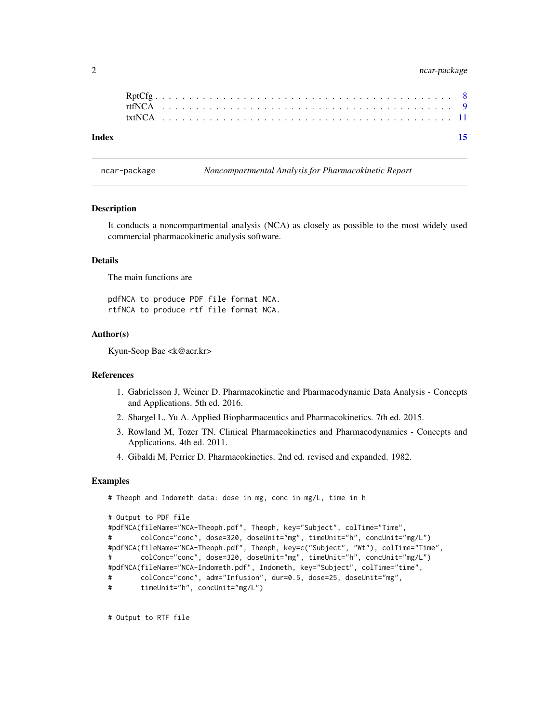#### <span id="page-1-0"></span>2 ncar-package

| Index |  |  |  |  |  |  |  |  |  |  |  |  |  |  |  |  |  |  |  |  |  | 15 |
|-------|--|--|--|--|--|--|--|--|--|--|--|--|--|--|--|--|--|--|--|--|--|----|
|       |  |  |  |  |  |  |  |  |  |  |  |  |  |  |  |  |  |  |  |  |  |    |
|       |  |  |  |  |  |  |  |  |  |  |  |  |  |  |  |  |  |  |  |  |  |    |
|       |  |  |  |  |  |  |  |  |  |  |  |  |  |  |  |  |  |  |  |  |  |    |

ncar-package *Noncompartmental Analysis for Pharmacokinetic Report*

#### Description

It conducts a noncompartmental analysis (NCA) as closely as possible to the most widely used commercial pharmacokinetic analysis software.

#### Details

The main functions are

pdfNCA to produce PDF file format NCA. rtfNCA to produce rtf file format NCA.

#### Author(s)

Kyun-Seop Bae <k@acr.kr>

#### References

- 1. Gabrielsson J, Weiner D. Pharmacokinetic and Pharmacodynamic Data Analysis Concepts and Applications. 5th ed. 2016.
- 2. Shargel L, Yu A. Applied Biopharmaceutics and Pharmacokinetics. 7th ed. 2015.
- 3. Rowland M, Tozer TN. Clinical Pharmacokinetics and Pharmacodynamics Concepts and Applications. 4th ed. 2011.
- 4. Gibaldi M, Perrier D. Pharmacokinetics. 2nd ed. revised and expanded. 1982.

#### Examples

```
# Theoph and Indometh data: dose in mg, conc in mg/L, time in h
```

```
# Output to PDF file
#pdfNCA(fileName="NCA-Theoph.pdf", Theoph, key="Subject", colTime="Time",
# colConc="conc", dose=320, doseUnit="mg", timeUnit="h", concUnit="mg/L")
#pdfNCA(fileName="NCA-Theoph.pdf", Theoph, key=c("Subject", "Wt"), colTime="Time",
# colConc="conc", dose=320, doseUnit="mg", timeUnit="h", concUnit="mg/L")
#pdfNCA(fileName="NCA-Indometh.pdf", Indometh, key="Subject", colTime="time",
# colConc="conc", adm="Infusion", dur=0.5, dose=25, doseUnit="mg",
# timeUnit="h", concUnit="mg/L")
```
# Output to RTF file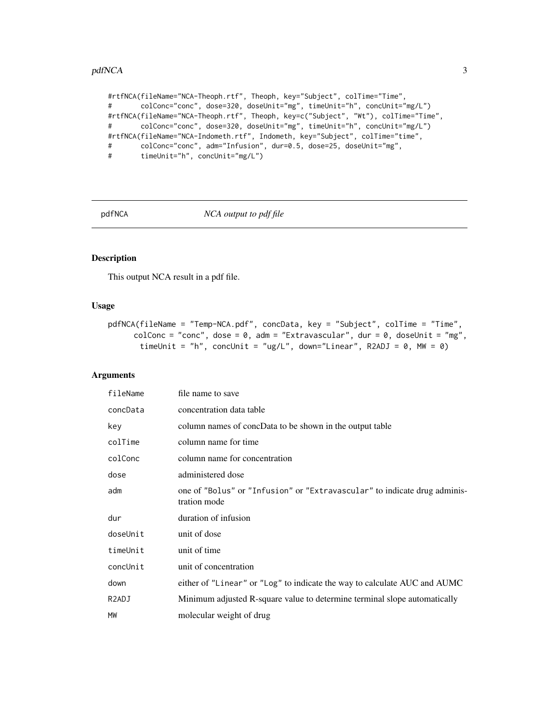#### <span id="page-2-0"></span>pdfNCA 3

#rtfNCA(fileName="NCA-Theoph.rtf", Theoph, key="Subject", colTime="Time", # colConc="conc", dose=320, doseUnit="mg", timeUnit="h", concUnit="mg/L") #rtfNCA(fileName="NCA-Theoph.rtf", Theoph, key=c("Subject", "Wt"), colTime="Time", # colConc="conc", dose=320, doseUnit="mg", timeUnit="h", concUnit="mg/L") #rtfNCA(fileName="NCA-Indometh.rtf", Indometh, key="Subject", colTime="time", # colConc="conc", adm="Infusion", dur=0.5, dose=25, doseUnit="mg", # timeUnit="h", concUnit="mg/L")

<span id="page-2-1"></span>pdfNCA *NCA output to pdf file*

#### Description

This output NCA result in a pdf file.

#### Usage

```
pdfNCA(fileName = "Temp-NCA.pdf", concData, key = "Subject", colTime = "Time",
     colConc = "conc", dose = 0, adm = "Extravascular", dur = 0, doseUnit = "mg",
       timeUnit = "h", concUnit = "ug/L", down="Linear", R2ADJ = 0, MW = 0)
```
#### Arguments

| fileName | file name to save                                                                         |
|----------|-------------------------------------------------------------------------------------------|
| concData | concentration data table                                                                  |
| key      | column names of concData to be shown in the output table                                  |
| colTime  | column name for time                                                                      |
| colConc  | column name for concentration                                                             |
| dose     | administered dose                                                                         |
| adm      | one of "Bolus" or "Infusion" or "Extravascular" to indicate drug adminis-<br>tration mode |
| dur      | duration of infusion                                                                      |
| doseUnit | unit of dose                                                                              |
| timeUnit | unit of time                                                                              |
| concUnit | unit of concentration                                                                     |
| down     | either of "Linear" or "Log" to indicate the way to calculate AUC and AUMC                 |
| R2ADJ    | Minimum adjusted R-square value to determine terminal slope automatically                 |
| MW       | molecular weight of drug                                                                  |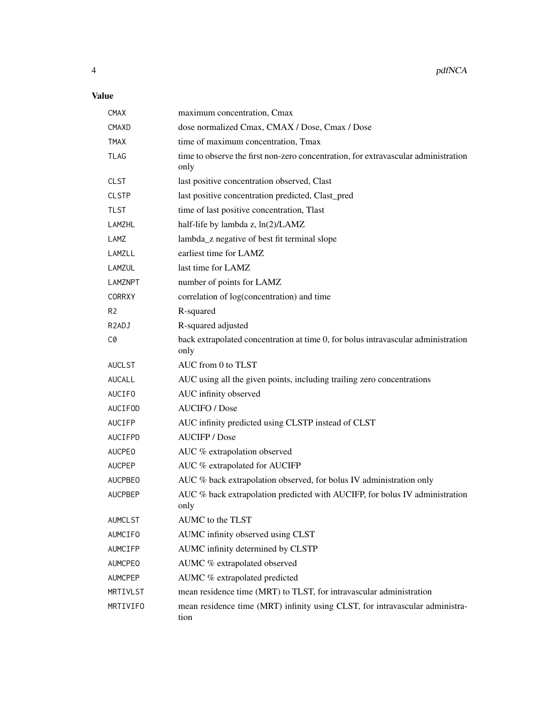#### Value

| <b>CMAX</b>        | maximum concentration, Cmax                                                                |
|--------------------|--------------------------------------------------------------------------------------------|
| CMAXD              | dose normalized Cmax, CMAX / Dose, Cmax / Dose                                             |
| <b>TMAX</b>        | time of maximum concentration, Tmax                                                        |
| <b>TLAG</b>        | time to observe the first non-zero concentration, for extravascular administration<br>only |
| <b>CLST</b>        | last positive concentration observed, Clast                                                |
| <b>CLSTP</b>       | last positive concentration predicted, Clast_pred                                          |
| TLST               | time of last positive concentration, Tlast                                                 |
| LAMZHL             | half-life by lambda z, ln(2)/LAMZ                                                          |
| LAMZ               | lambda_z negative of best fit terminal slope                                               |
| LAMZLL             | earliest time for LAMZ                                                                     |
| LAMZUL             | last time for LAMZ                                                                         |
| LAMZNPT            | number of points for LAMZ                                                                  |
| <b>CORRXY</b>      | correlation of log(concentration) and time                                                 |
| R <sub>2</sub>     | R-squared                                                                                  |
| R <sub>2</sub> ADJ | R-squared adjusted                                                                         |
| C0                 | back extrapolated concentration at time 0, for bolus intravascular administration<br>only  |
| <b>AUCLST</b>      | AUC from 0 to TLST                                                                         |
| <b>AUCALL</b>      | AUC using all the given points, including trailing zero concentrations                     |
| <b>AUCIFO</b>      | AUC infinity observed                                                                      |
| AUCIFOD            | <b>AUCIFO</b> / Dose                                                                       |
| <b>AUCIFP</b>      | AUC infinity predicted using CLSTP instead of CLST                                         |
| AUCIFPD            | <b>AUCIFP</b> / Dose                                                                       |
| <b>AUCPEO</b>      | AUC % extrapolation observed                                                               |
| <b>AUCPEP</b>      | AUC % extrapolated for AUCIFP                                                              |
| <b>AUCPBEO</b>     | AUC % back extrapolation observed, for bolus IV administration only                        |
| <b>AUCPBEP</b>     | AUC % back extrapolation predicted with AUCIFP, for bolus IV administration<br>only        |
| <b>AUMCLST</b>     | AUMC to the TLST                                                                           |
| <b>AUMCIFO</b>     | AUMC infinity observed using CLST                                                          |
| AUMCIFP            | AUMC infinity determined by CLSTP                                                          |
| <b>AUMCPEO</b>     | AUMC % extrapolated observed                                                               |
| AUMCPEP            | AUMC % extrapolated predicted                                                              |
| MRTIVLST           | mean residence time (MRT) to TLST, for intravascular administration                        |
| MRTIVIFO           | mean residence time (MRT) infinity using CLST, for intravascular administra-<br>tion       |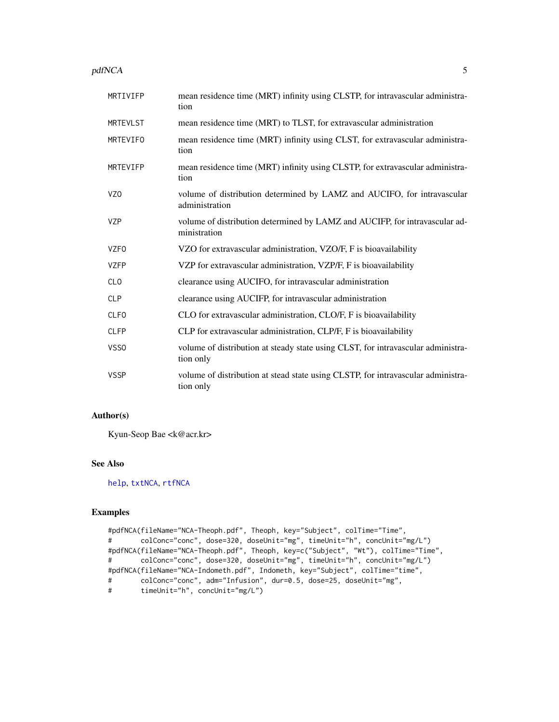#### <span id="page-4-0"></span>pdfNCA 5

| MRTIVIFP        | mean residence time (MRT) infinity using CLSTP, for intravascular administra-<br>tion         |
|-----------------|-----------------------------------------------------------------------------------------------|
| <b>MRTEVLST</b> | mean residence time (MRT) to TLST, for extravascular administration                           |
| MRTEVIFO        | mean residence time (MRT) infinity using CLST, for extravascular administra-<br>tion          |
| MRTEVIFP        | mean residence time (MRT) infinity using CLSTP, for extravascular administra-<br>tion         |
| VZ <sub>0</sub> | volume of distribution determined by LAMZ and AUCIFO, for intravascular<br>administration     |
| <b>VZP</b>      | volume of distribution determined by LAMZ and AUCIFP, for intravascular ad-<br>ministration   |
| <b>VZFO</b>     | VZO for extravascular administration, VZO/F, F is bioavailability                             |
| <b>VZFP</b>     | VZP for extravascular administration, VZP/F, F is bioavailability                             |
| <b>CLO</b>      | clearance using AUCIFO, for intravascular administration                                      |
| <b>CLP</b>      | clearance using AUCIFP, for intravascular administration                                      |
| <b>CLFO</b>     | CLO for extravascular administration, CLO/F, F is bioavailability                             |
| <b>CLFP</b>     | CLP for extravascular administration, CLP/F, F is bioavailability                             |
| VSS0            | volume of distribution at steady state using CLST, for intravascular administra-<br>tion only |
| <b>VSSP</b>     | volume of distribution at stead state using CLSTP, for intravascular administra-<br>tion only |

#### Author(s)

Kyun-Seop Bae <k@acr.kr>

#### See Also

[help](#page-0-0), [txtNCA](#page-10-1), [rtfNCA](#page-8-1)

```
#pdfNCA(fileName="NCA-Theoph.pdf", Theoph, key="Subject", colTime="Time",
# colConc="conc", dose=320, doseUnit="mg", timeUnit="h", concUnit="mg/L")
#pdfNCA(fileName="NCA-Theoph.pdf", Theoph, key=c("Subject", "Wt"), colTime="Time",
# colConc="conc", dose=320, doseUnit="mg", timeUnit="h", concUnit="mg/L")
#pdfNCA(fileName="NCA-Indometh.pdf", Indometh, key="Subject", colTime="time",
# colConc="conc", adm="Infusion", dur=0.5, dose=25, doseUnit="mg",
# timeUnit="h", concUnit="mg/L")
```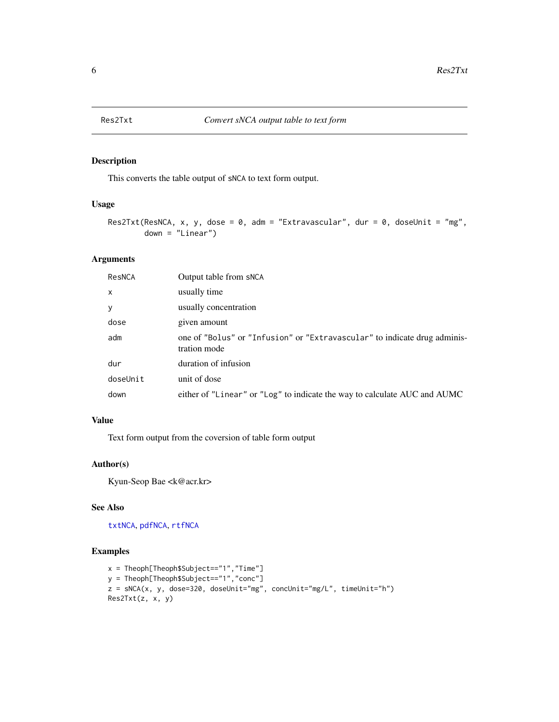<span id="page-5-0"></span>

This converts the table output of sNCA to text form output.

#### Usage

```
Res2Txt(ResNCA, x, y, dose = 0, adm = "Extravascular", dur = 0, doseUnit = "mg",
        down = "Linear")
```
#### Arguments

| ResNCA       | Output table from sNCA                                                                    |
|--------------|-------------------------------------------------------------------------------------------|
| $\mathsf{x}$ | usually time                                                                              |
| y            | usually concentration                                                                     |
| dose         | given amount                                                                              |
| adm          | one of "Bolus" or "Infusion" or "Extravascular" to indicate drug adminis-<br>tration mode |
| dur          | duration of infusion                                                                      |
| doseUnit     | unit of dose                                                                              |
| down         | either of "Linear" or "Log" to indicate the way to calculate AUC and AUMC                 |

#### Value

Text form output from the coversion of table form output

#### Author(s)

Kyun-Seop Bae <k@acr.kr>

#### See Also

[txtNCA](#page-10-1), [pdfNCA](#page-2-1), [rtfNCA](#page-8-1)

```
x = Theoph[Theoph$Subject == "1", "Time"]y = Theoph[Theoph$Subject=="1","conc"]
z = sNCA(x, y, dose=320, doseUnit="mg", concUnit="mg/L", timeUnit="h")
Res2Txt(z, x, y)
```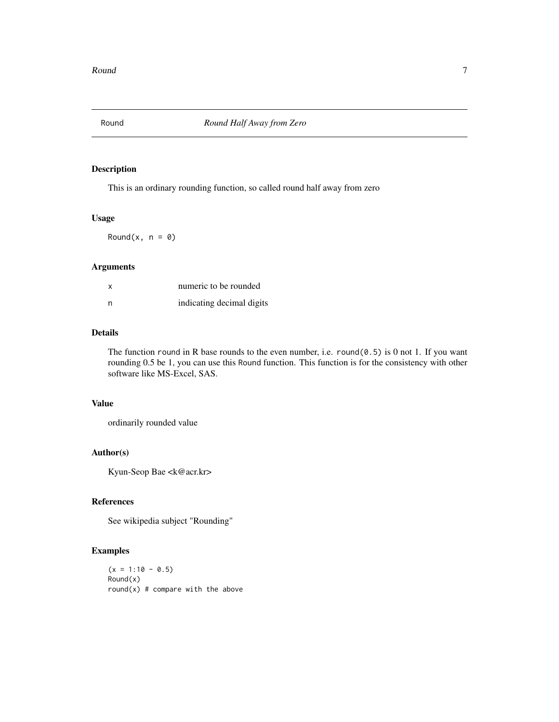<span id="page-6-0"></span>

This is an ordinary rounding function, so called round half away from zero

#### Usage

Round $(x, n = 0)$ 

#### Arguments

| X | numeric to be rounded     |
|---|---------------------------|
| n | indicating decimal digits |

#### Details

The function round in R base rounds to the even number, i.e. round( $0.5$ ) is 0 not 1. If you want rounding 0.5 be 1, you can use this Round function. This function is for the consistency with other software like MS-Excel, SAS.

#### Value

ordinarily rounded value

#### Author(s)

Kyun-Seop Bae <k@acr.kr>

#### References

See wikipedia subject "Rounding"

```
(x = 1:10 - 0.5)Round(x)
round(x) # compare with the above
```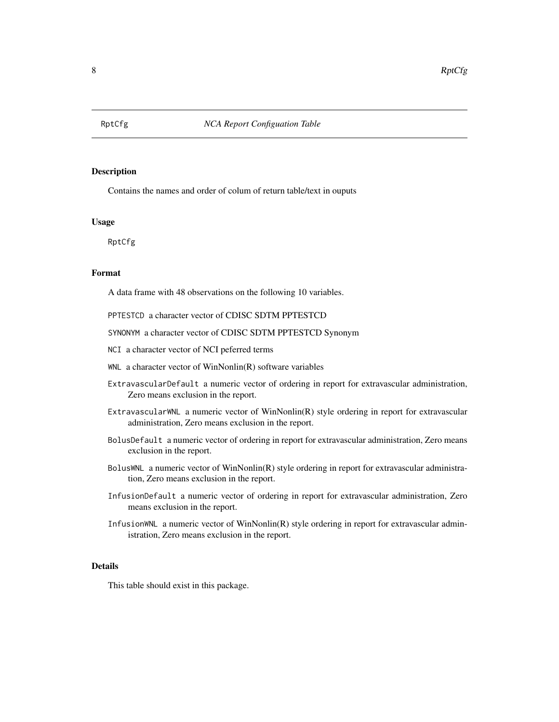<span id="page-7-0"></span>

Contains the names and order of colum of return table/text in ouputs

#### Usage

RptCfg

#### Format

A data frame with 48 observations on the following 10 variables.

PPTESTCD a character vector of CDISC SDTM PPTESTCD

SYNONYM a character vector of CDISC SDTM PPTESTCD Synonym

- NCI a character vector of NCI peferred terms
- WNL a character vector of WinNonlin(R) software variables
- ExtravascularDefault a numeric vector of ordering in report for extravascular administration, Zero means exclusion in the report.
- ExtravascularWNL a numeric vector of WinNonlin(R) style ordering in report for extravascular administration, Zero means exclusion in the report.
- BolusDefault a numeric vector of ordering in report for extravascular administration, Zero means exclusion in the report.
- BolusWNL a numeric vector of WinNonlin(R) style ordering in report for extravascular administration, Zero means exclusion in the report.
- InfusionDefault a numeric vector of ordering in report for extravascular administration, Zero means exclusion in the report.
- InfusionWNL a numeric vector of WinNonlin(R) style ordering in report for extravascular administration, Zero means exclusion in the report.

#### Details

This table should exist in this package.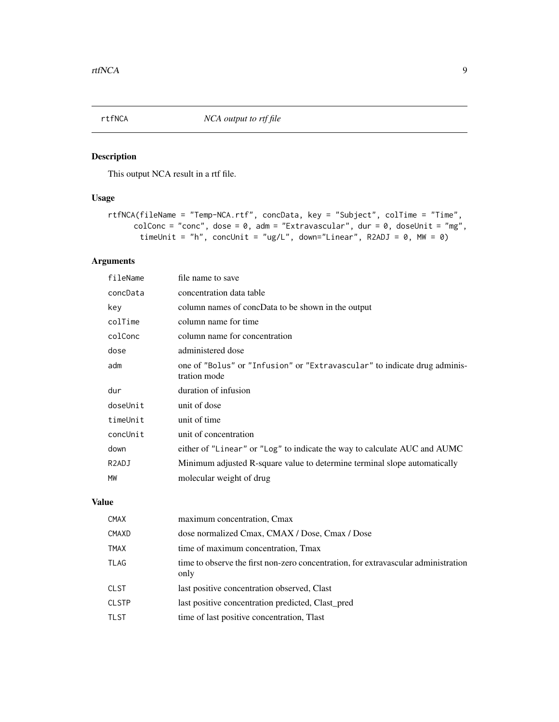<span id="page-8-1"></span><span id="page-8-0"></span>

This output NCA result in a rtf file.

#### Usage

```
rtfNCA(fileName = "Temp-NCA.rtf", concData, key = "Subject", colTime = "Time",
     colConc = "conc", dose = 0, adm = "Extravascular", dur = 0, doselinit = "mg",timeUnit = "h", concUnit = "ug/L", down="Linear", R2ADJ = 0, MW = 0)
```
#### Arguments

| fileName           | file name to save                                                                         |
|--------------------|-------------------------------------------------------------------------------------------|
| concData           | concentration data table                                                                  |
| key                | column names of concData to be shown in the output                                        |
| colTime            | column name for time                                                                      |
| colConc            | column name for concentration                                                             |
| dose               | administered dose                                                                         |
| adm                | one of "Bolus" or "Infusion" or "Extravascular" to indicate drug adminis-<br>tration mode |
| dur                | duration of infusion                                                                      |
| doseUnit           | unit of dose                                                                              |
| timeUnit           | unit of time                                                                              |
| concUnit           | unit of concentration                                                                     |
| down               | either of "Linear" or "Log" to indicate the way to calculate AUC and AUMC                 |
| R <sub>2</sub> ADJ |                                                                                           |
|                    | Minimum adjusted R-square value to determine terminal slope automatically                 |
| MW                 | molecular weight of drug                                                                  |

#### Value

| <b>CMAX</b>  | maximum concentration, Cmax                                                                |
|--------------|--------------------------------------------------------------------------------------------|
| <b>CMAXD</b> | dose normalized Cmax, CMAX / Dose, Cmax / Dose                                             |
| <b>TMAX</b>  | time of maximum concentration, Tmax                                                        |
| TLAG         | time to observe the first non-zero concentration, for extravascular administration<br>only |
| <b>CLST</b>  | last positive concentration observed, Clast                                                |
| <b>CLSTP</b> | last positive concentration predicted, Clast_pred                                          |
| <b>TLST</b>  | time of last positive concentration, Tlast                                                 |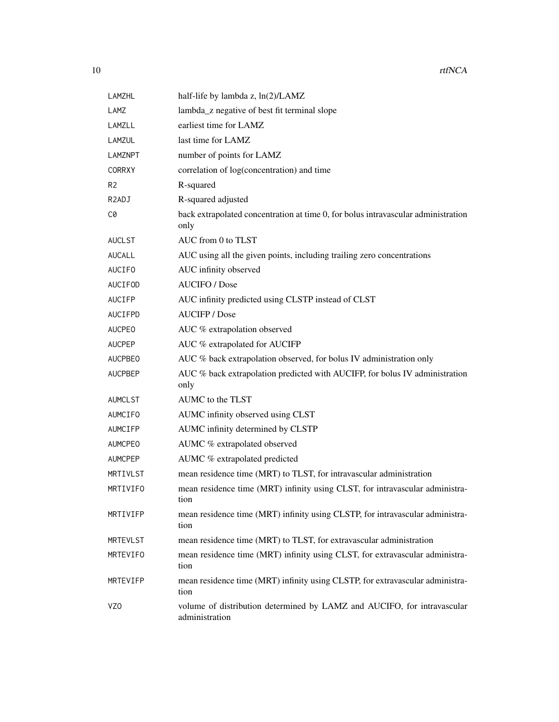| <b>LAMZHL</b>      | half-life by lambda z, ln(2)/LAMZ                                                         |
|--------------------|-------------------------------------------------------------------------------------------|
| LAMZ               | lambda_z negative of best fit terminal slope                                              |
| LAMZLL             | earliest time for LAMZ                                                                    |
| LAMZUL             | last time for LAMZ                                                                        |
| <b>LAMZNPT</b>     | number of points for LAMZ                                                                 |
| <b>CORRXY</b>      | correlation of log(concentration) and time                                                |
| R <sub>2</sub>     | R-squared                                                                                 |
| R <sub>2</sub> ADJ | R-squared adjusted                                                                        |
| C0                 | back extrapolated concentration at time 0, for bolus intravascular administration<br>only |
| <b>AUCLST</b>      | AUC from 0 to TLST                                                                        |
| <b>AUCALL</b>      | AUC using all the given points, including trailing zero concentrations                    |
| AUCIFO             | AUC infinity observed                                                                     |
| AUCIFOD            | <b>AUCIFO</b> / Dose                                                                      |
| AUCIFP             | AUC infinity predicted using CLSTP instead of CLST                                        |
| AUCIFPD            | <b>AUCIFP</b> / Dose                                                                      |
| <b>AUCPEO</b>      | AUC % extrapolation observed                                                              |
| <b>AUCPEP</b>      | AUC % extrapolated for AUCIFP                                                             |
| <b>AUCPBEO</b>     | AUC % back extrapolation observed, for bolus IV administration only                       |
| <b>AUCPBEP</b>     | AUC % back extrapolation predicted with AUCIFP, for bolus IV administration<br>only       |
| <b>AUMCLST</b>     | AUMC to the TLST                                                                          |
| <b>AUMCIFO</b>     | AUMC infinity observed using CLST                                                         |
| AUMCIFP            | AUMC infinity determined by CLSTP                                                         |
| <b>AUMCPEO</b>     | AUMC % extrapolated observed                                                              |
| <b>AUMCPEP</b>     | AUMC % extrapolated predicted                                                             |
| MRTIVLST           | mean residence time (MRT) to TLST, for intravascular administration                       |
| MRTIVIFO           | mean residence time (MRT) infinity using CLST, for intravascular administra-<br>tion      |
| MRTIVIFP           | mean residence time (MRT) infinity using CLSTP, for intravascular administra-<br>tion     |
| <b>MRTEVLST</b>    | mean residence time (MRT) to TLST, for extravascular administration                       |
| MRTEVIFO           | mean residence time (MRT) infinity using CLST, for extravascular administra-<br>tion      |
| MRTEVIFP           | mean residence time (MRT) infinity using CLSTP, for extravascular administra-<br>tion     |
| VZ <sub>0</sub>    | volume of distribution determined by LAMZ and AUCIFO, for intravascular<br>administration |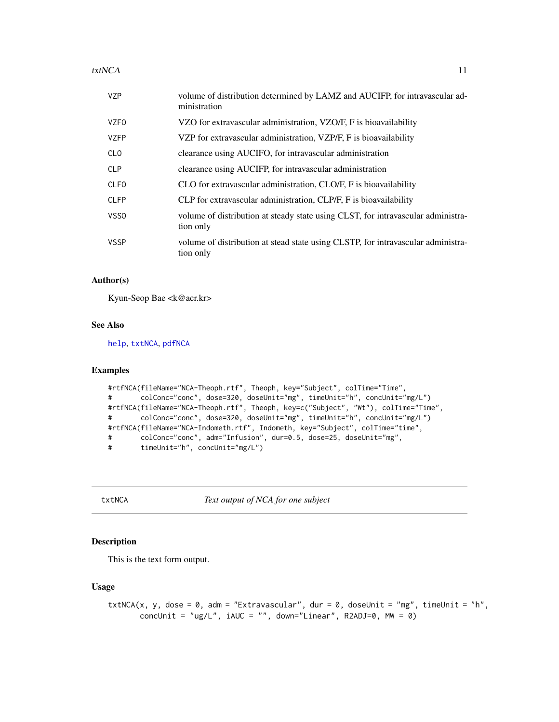#### <span id="page-10-0"></span> $\text{txtNCA}$  11

| <b>VZP</b>       | volume of distribution determined by LAMZ and AUCIFP, for intravascular ad-<br>ministration        |
|------------------|----------------------------------------------------------------------------------------------------|
| <b>VZFO</b>      | VZO for extravascular administration, VZO/F, F is bioavailability                                  |
| <b>VZFP</b>      | VZP for extravascular administration, VZP/F, F is bioavailability                                  |
| <b>CLO</b>       | clearance using AUCIFO, for intravascular administration                                           |
| <b>CLP</b>       | clearance using AUCIFP, for intravascular administration                                           |
| <b>CLFO</b>      | CLO for extravascular administration, CLO/F, F is bioavailability                                  |
| <b>CLFP</b>      | CLP for extravascular administration, CLP/F, F is bioavailability                                  |
| VSS <sub>0</sub> | volume of distribution at steady state using CLST, for intravascular administrational<br>tion only |
| <b>VSSP</b>      | volume of distribution at stead state using CLSTP, for intravascular administra-<br>tion only      |

#### Author(s)

Kyun-Seop Bae <k@acr.kr>

#### See Also

[help](#page-0-0), [txtNCA](#page-10-1), [pdfNCA](#page-2-1)

#### Examples

```
#rtfNCA(fileName="NCA-Theoph.rtf", Theoph, key="Subject", colTime="Time",
# colConc="conc", dose=320, doseUnit="mg", timeUnit="h", concUnit="mg/L")
#rtfNCA(fileName="NCA-Theoph.rtf", Theoph, key=c("Subject", "Wt"), colTime="Time",
# colConc="conc", dose=320, doseUnit="mg", timeUnit="h", concUnit="mg/L")
#rtfNCA(fileName="NCA-Indometh.rtf", Indometh, key="Subject", colTime="time",
# colConc="conc", adm="Infusion", dur=0.5, dose=25, doseUnit="mg",
# timeUnit="h", concUnit="mg/L")
```
<span id="page-10-1"></span>txtNCA *Text output of NCA for one subject*

#### Description

This is the text form output.

#### Usage

```
txtNCA(x, y, dose = 0, adm = "Extravascular", dur = 0, doseUnit = "mg", timeUnit = "h",
       concUnit = "ug/L", iAUC = "", down="Linear", R2ADJ=0, MW = 0)
```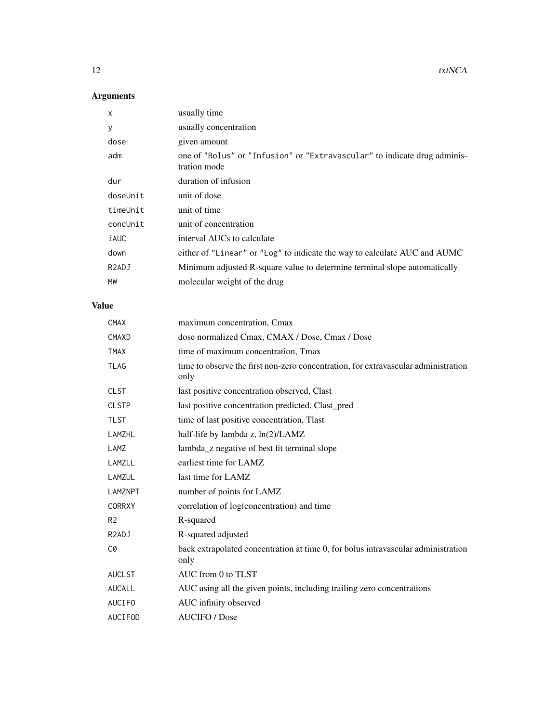#### Arguments

| X                  | usually time                                                                              |
|--------------------|-------------------------------------------------------------------------------------------|
| У                  | usually concentration                                                                     |
| dose               | given amount                                                                              |
| adm                | one of "Bolus" or "Infusion" or "Extravascular" to indicate drug adminis-<br>tration mode |
| dur                | duration of infusion                                                                      |
| doseUnit           | unit of dose                                                                              |
| timeUnit           | unit of time                                                                              |
| concUnit           | unit of concentration                                                                     |
| iAUC               | interval AUCs to calculate                                                                |
| down               | either of "Linear" or "Log" to indicate the way to calculate AUC and AUMC                 |
| R <sub>2</sub> ADJ | Minimum adjusted R-square value to determine terminal slope automatically                 |
| MW                 | molecular weight of the drug                                                              |
| <b>Value</b>       |                                                                                           |
| <b>CMAX</b>        | maximum concentration, Cmax                                                               |
| CMAXD              | dose normalized Cmax, CMAX / Dose, Cmax / Dose                                            |

| ∪⊡⊓∧               | maximum concentration, Cinax                                                               |
|--------------------|--------------------------------------------------------------------------------------------|
| CMAXD              | dose normalized Cmax, CMAX / Dose, Cmax / Dose                                             |
| <b>TMAX</b>        | time of maximum concentration, Tmax                                                        |
| <b>TLAG</b>        | time to observe the first non-zero concentration, for extravascular administration<br>only |
| <b>CLST</b>        | last positive concentration observed, Clast                                                |
| <b>CLSTP</b>       | last positive concentration predicted, Clast_pred                                          |
| <b>TLST</b>        | time of last positive concentration, Tlast                                                 |
| <b>LAMZHL</b>      | half-life by lambda z, ln(2)/LAMZ                                                          |
| LAMZ               | lambda_z negative of best fit terminal slope                                               |
| LAMZLL             | earliest time for LAMZ                                                                     |
| LAMZUL             | last time for LAMZ                                                                         |
| <b>LAMZNPT</b>     | number of points for LAMZ                                                                  |
| <b>CORRXY</b>      | correlation of log(concentration) and time                                                 |
| R <sub>2</sub>     | R-squared                                                                                  |
| R <sub>2</sub> ADJ | R-squared adjusted                                                                         |
| C0                 | back extrapolated concentration at time 0, for bolus intravascular administration<br>only  |
| <b>AUCLST</b>      | AUC from 0 to TLST                                                                         |
| <b>AUCALL</b>      | AUC using all the given points, including trailing zero concentrations                     |
| <b>AUCIFO</b>      | AUC infinity observed                                                                      |
| <b>AUCIFOD</b>     | <b>AUCIFO</b> / Dose                                                                       |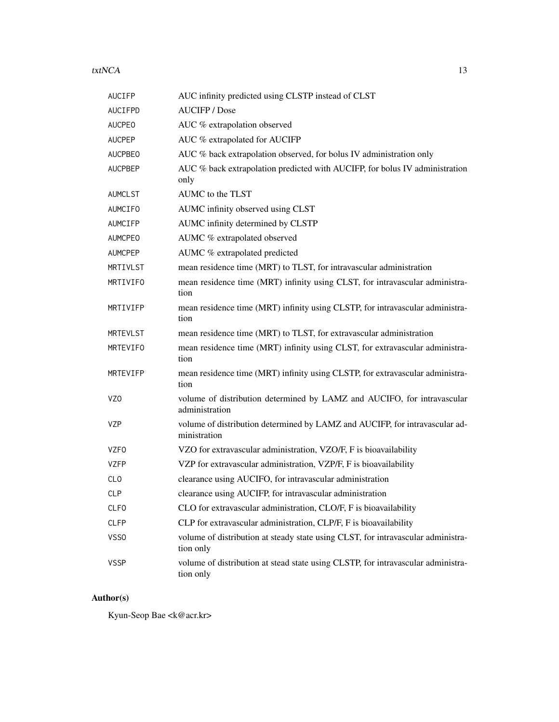#### $\text{txtNCA}$  13

| <b>AUCIFP</b>   | AUC infinity predicted using CLSTP instead of CLST                                            |
|-----------------|-----------------------------------------------------------------------------------------------|
| AUCIFPD         | <b>AUCIFP</b> / Dose                                                                          |
| <b>AUCPEO</b>   | AUC % extrapolation observed                                                                  |
| <b>AUCPEP</b>   | AUC % extrapolated for AUCIFP                                                                 |
| <b>AUCPBEO</b>  | AUC % back extrapolation observed, for bolus IV administration only                           |
| <b>AUCPBEP</b>  | AUC % back extrapolation predicted with AUCIFP, for bolus IV administration<br>only           |
| AUMCLST         | AUMC to the TLST                                                                              |
| AUMCIFO         | AUMC infinity observed using CLST                                                             |
| AUMCIFP         | AUMC infinity determined by CLSTP                                                             |
| <b>AUMCPEO</b>  | AUMC % extrapolated observed                                                                  |
| <b>AUMCPEP</b>  | AUMC % extrapolated predicted                                                                 |
| MRTIVLST        | mean residence time (MRT) to TLST, for intravascular administration                           |
| MRTIVIFO        | mean residence time (MRT) infinity using CLST, for intravascular administra-<br>tion          |
| MRTIVIFP        | mean residence time (MRT) infinity using CLSTP, for intravascular administra-<br>tion         |
| <b>MRTEVLST</b> | mean residence time (MRT) to TLST, for extravascular administration                           |
| MRTEVIFO        | mean residence time (MRT) infinity using CLST, for extravascular administra-<br>tion          |
| MRTEVIFP        | mean residence time (MRT) infinity using CLSTP, for extravascular administra-<br>tion         |
| VZ <sub>0</sub> | volume of distribution determined by LAMZ and AUCIFO, for intravascular<br>administration     |
| VZP             | volume of distribution determined by LAMZ and AUCIFP, for intravascular ad-<br>ministration   |
| <b>VZFO</b>     | VZO for extravascular administration, VZO/F, F is bioavailability                             |
| <b>VZFP</b>     | VZP for extravascular administration, VZP/F, F is bioavailability                             |
| <b>CLO</b>      | clearance using AUCIFO, for intravascular administration                                      |
| <b>CLP</b>      | clearance using AUCIFP, for intravascular administration                                      |
| <b>CLFO</b>     | CLO for extravascular administration, CLO/F, F is bioavailability                             |
| <b>CLFP</b>     | CLP for extravascular administration, CLP/F, F is bioavailability                             |
| VSS0            | volume of distribution at steady state using CLST, for intravascular administra-<br>tion only |
| <b>VSSP</b>     | volume of distribution at stead state using CLSTP, for intravascular administra-<br>tion only |

#### Author(s)

Kyun-Seop Bae <k@acr.kr>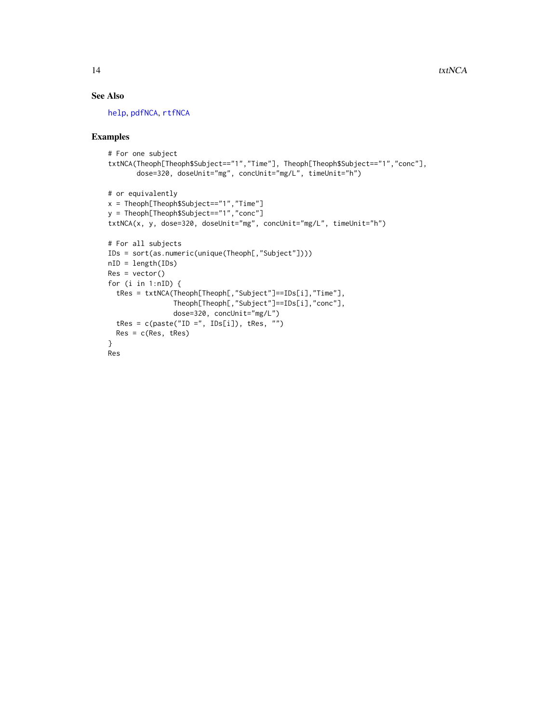#### <span id="page-13-0"></span>See Also

[help](#page-0-0), [pdfNCA](#page-2-1), [rtfNCA](#page-8-1)

```
# For one subject
txtNCA(Theoph[Theoph$Subject=="1","Time"], Theoph[Theoph$Subject=="1","conc"],
       dose=320, doseUnit="mg", concUnit="mg/L", timeUnit="h")
# or equivalently
x = Theoph[Theoph$Subject=="1","Time"]
y = Theoph[Theoph$Subject=="1","conc"]
txtNCA(x, y, dose=320, doseUnit="mg", concUnit="mg/L", timeUnit="h")
# For all subjects
IDs = sort(as.numeric(unique(Theoph[,"Subject"])))
nID = length(IDs)
Res = vector()for (i in 1:nID) {
  tRes = txtNCA(Theoph[Theoph[,"Subject"]==IDs[i],"Time"],
                Theoph[Theoph[,"Subject"]==IDs[i],"conc"],
                dose=320, concUnit="mg/L")
  tRes = c(paste("ID =", IDs[i]), tRes, "")
  Res = c(Res, tRes)
}
Res
```